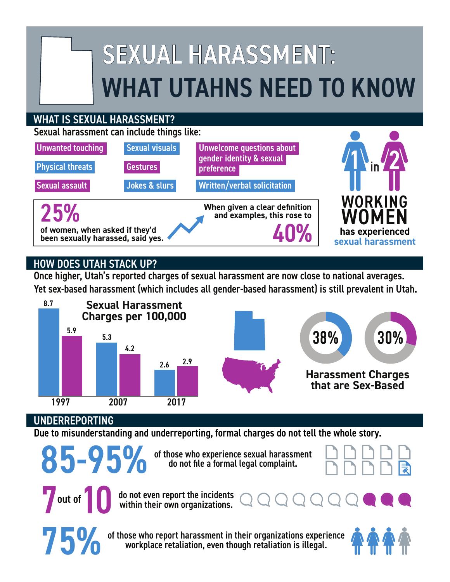# SEXUAL HARASSMENT: WHAT UTAHNS NEED TO KNOW

### WHAT IS SEXUAL HARASSMENT?

Sexual harassment can include things like:



# HOW DOES UTAH STACK UP?

Once higher, Utah's reported charges of sexual harassment are now close to national averages. Yet sex-based harassment (which includes all gender-based harassment) is still prevalent in Utah.



## UNDERREPORTING

Due to misunderstanding and underreporting, formal charges do not tell the whole story.

85-95% of those who experience sexual harassment<br>do not file a formal legal complaint. do not file a formal legal complaint.



**75 OV** of those who report harassment in their organizations experience workplace retaliation, even though retaliation is illegal. workplace retaliation, even though retaliation is illegal.